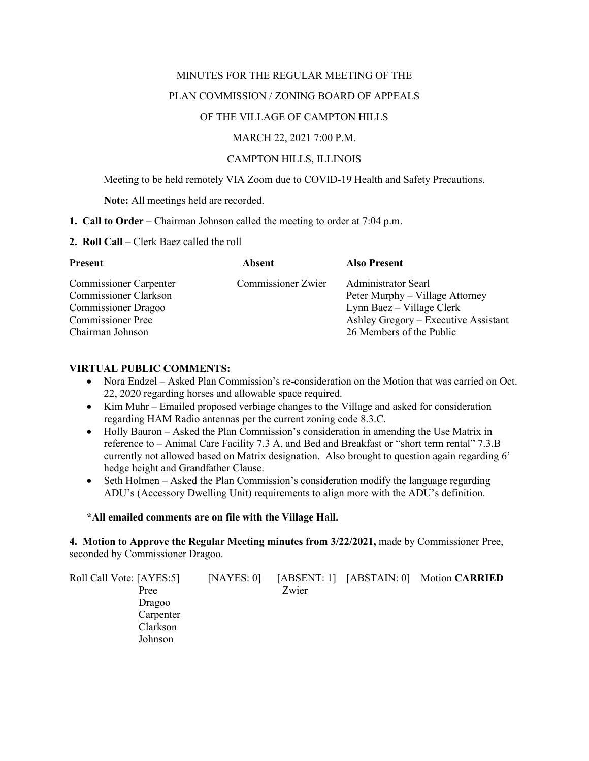#### MINUTES FOR THE REGULAR MEETING OF THE

### PLAN COMMISSION / ZONING BOARD OF APPEALS

# OF THE VILLAGE OF CAMPTON HILLS

# MARCH 22, 2021 7:00 P.M.

# CAMPTON HILLS, ILLINOIS

Meeting to be held remotely VIA Zoom due to COVID-19 Health and Safety Precautions.

**Note:** All meetings held are recorded.

#### **1. Call to Order** – Chairman Johnson called the meeting to order at 7:04 p.m.

#### **2. Roll Call –** Clerk Baez called the roll

| Absent             | <b>Also Present</b>                  |
|--------------------|--------------------------------------|
| Commissioner Zwier | Administrator Searl                  |
|                    | Peter Murphy – Village Attorney      |
|                    | Lynn Baez – Village Clerk            |
|                    | Ashley Gregory – Executive Assistant |
|                    | 26 Members of the Public             |
|                    |                                      |

### **VIRTUAL PUBLIC COMMENTS:**

- Nora Endzel Asked Plan Commission's re-consideration on the Motion that was carried on Oct. 22, 2020 regarding horses and allowable space required.
- Kim Muhr Emailed proposed verbiage changes to the Village and asked for consideration regarding HAM Radio antennas per the current zoning code 8.3.C.
- Holly Bauron Asked the Plan Commission's consideration in amending the Use Matrix in reference to – Animal Care Facility 7.3 A, and Bed and Breakfast or "short term rental" 7.3.B currently not allowed based on Matrix designation. Also brought to question again regarding 6' hedge height and Grandfather Clause.
- Seth Holmen Asked the Plan Commission's consideration modify the language regarding ADU's (Accessory Dwelling Unit) requirements to align more with the ADU's definition.

#### **\*All emailed comments are on file with the Village Hall.**

**4. Motion to Approve the Regular Meeting minutes from 3/22/2021,** made by Commissioner Pree, seconded by Commissioner Dragoo.

| Roll Call Vote: [AYES:5] | [NAYES: 0] |       | [ABSENT: 1] [ABSTAIN: 0] Motion CARRIED |
|--------------------------|------------|-------|-----------------------------------------|
| Pree                     |            | Zwier |                                         |
| Dragoo                   |            |       |                                         |
| Carpenter                |            |       |                                         |
| Clarkson                 |            |       |                                         |
| Johnson                  |            |       |                                         |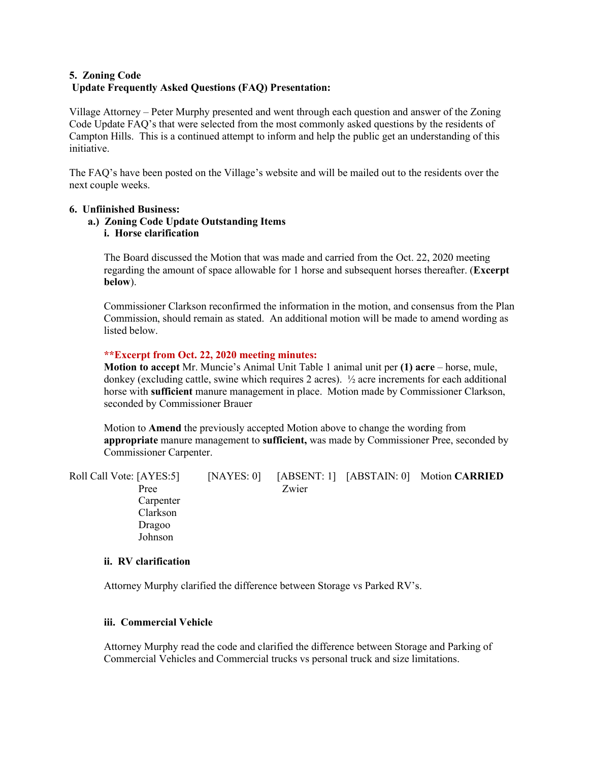# **5. Zoning Code Update Frequently Asked Questions (FAQ) Presentation:**

Village Attorney – Peter Murphy presented and went through each question and answer of the Zoning Code Update FAQ's that were selected from the most commonly asked questions by the residents of Campton Hills. This is a continued attempt to inform and help the public get an understanding of this initiative.

The FAQ's have been posted on the Village's website and will be mailed out to the residents over the next couple weeks.

### **6. Unfiinished Business:**

### **a.) Zoning Code Update Outstanding Items i. Horse clarification**

The Board discussed the Motion that was made and carried from the Oct. 22, 2020 meeting regarding the amount of space allowable for 1 horse and subsequent horses thereafter. (**Excerpt below**).

Commissioner Clarkson reconfirmed the information in the motion, and consensus from the Plan Commission, should remain as stated. An additional motion will be made to amend wording as listed below.

# **\*\*Excerpt from Oct. 22, 2020 meeting minutes:**

**Motion to accept** Mr. Muncie's Animal Unit Table 1 animal unit per **(1) acre** – horse, mule, donkey (excluding cattle, swine which requires 2 acres). ½ acre increments for each additional horse with **sufficient** manure management in place. Motion made by Commissioner Clarkson, seconded by Commissioner Brauer

Motion to **Amend** the previously accepted Motion above to change the wording from **appropriate** manure management to **sufficient,** was made by Commissioner Pree, seconded by Commissioner Carpenter.

Roll Call Vote: [AYES:5] [NAYES: 0] [ABSENT: 1] [ABSTAIN: 0] Motion **CARRIED** Pree Zwier Carpenter Clarkson Dragoo Johnson

# **ii. RV clarification**

Attorney Murphy clarified the difference between Storage vs Parked RV's.

#### **iii. Commercial Vehicle**

Attorney Murphy read the code and clarified the difference between Storage and Parking of Commercial Vehicles and Commercial trucks vs personal truck and size limitations.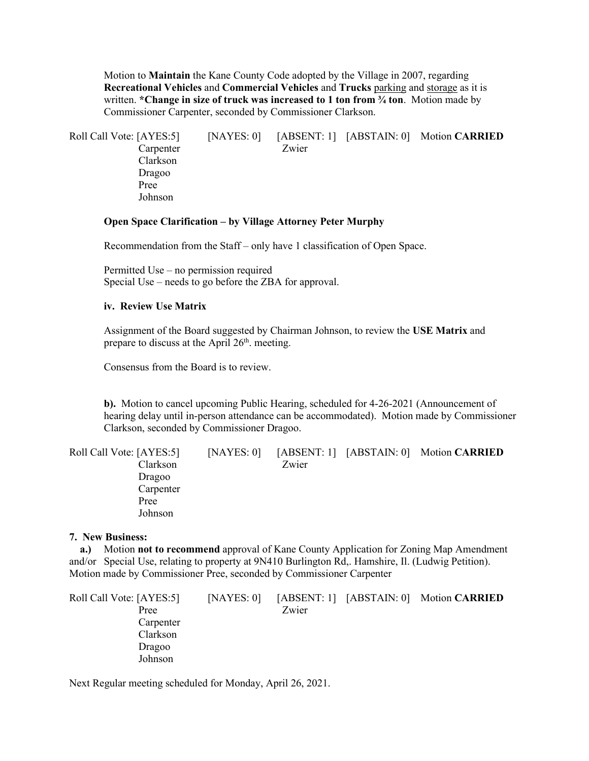Motion to **Maintain** the Kane County Code adopted by the Village in 2007, regarding **Recreational Vehicles** and **Commercial Vehicles** and **Trucks** parking and storage as it is written. **\*Change in size of truck was increased to 1 ton from ¾ ton**. Motion made by Commissioner Carpenter, seconded by Commissioner Clarkson.

Roll Call Vote: [AYES:5] [NAYES: 0] [ABSENT: 1] [ABSTAIN: 0] Motion **CARRIED** Carpenter Zwier Clarkson Dragoo Pree Johnson

# **Open Space Clarification – by Village Attorney Peter Murphy**

Recommendation from the Staff – only have 1 classification of Open Space.

Permitted Use – no permission required Special Use – needs to go before the ZBA for approval.

# **iv. Review Use Matrix**

Assignment of the Board suggested by Chairman Johnson, to review the **USE Matrix** and prepare to discuss at the April 26<sup>th</sup>. meeting.

Consensus from the Board is to review.

**b).** Motion to cancel upcoming Public Hearing, scheduled for 4-26-2021 (Announcement of hearing delay until in-person attendance can be accommodated). Motion made by Commissioner Clarkson, seconded by Commissioner Dragoo.

| Roll Call Vote: [AYES:5] | [NAYES: 0] |       | [ABSENT: 1] [ABSTAIN: 0] Motion CARRIED |
|--------------------------|------------|-------|-----------------------------------------|
| Clarkson                 |            | Zwier |                                         |
| Dragoo                   |            |       |                                         |
| Carpenter                |            |       |                                         |
| Pree                     |            |       |                                         |
| Johnson                  |            |       |                                         |

#### **7. New Business:**

 **a.)** Motion **not to recommend** approval of Kane County Application for Zoning Map Amendment and/or Special Use, relating to property at 9N410 Burlington Rd,. Hamshire, Il. (Ludwig Petition). Motion made by Commissioner Pree, seconded by Commissioner Carpenter

| [NAYES: 0] |       |                                         |
|------------|-------|-----------------------------------------|
|            | Zwier |                                         |
|            |       |                                         |
|            |       |                                         |
|            |       |                                         |
|            |       |                                         |
|            |       | [ABSENT: 1] [ABSTAIN: 0] Motion CARRIED |

Next Regular meeting scheduled for Monday, April 26, 2021.